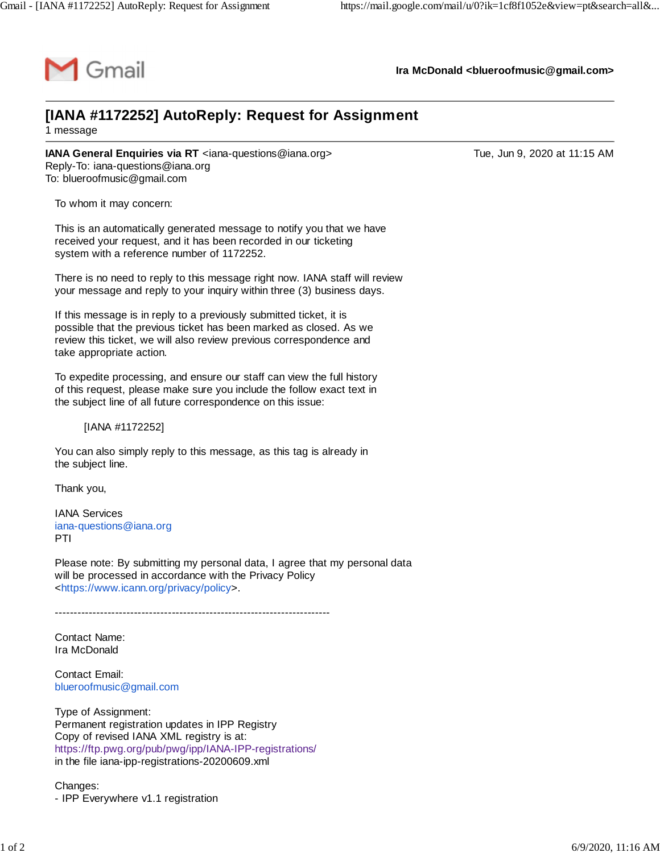

**Ira McDonald [<blueroofmusic@gmail.com>](mailto:blueroofmusic@gmail.com)**

## **[IANA #1172252] AutoReply: Request for Assignment** 1 message

**IANA General Enquiries via RT** <[iana-questions@iana.org](mailto:iana-questions@iana.org)> Tue, Jun 9, 2020 at 11:15 AM Reply-To: [iana-questions@iana.org](mailto:iana-questions@iana.org) To: [blueroofmusic@gmail.com](mailto:blueroofmusic@gmail.com)

To whom it may concern:

This is an automatically generated message to notify you that we have received your request, and it has been recorded in our ticketing system with a reference number of 1172252.

There is no need to reply to this message right now. IANA staff will review your message and reply to your inquiry within three (3) business days.

If this message is in reply to a previously submitted ticket, it is possible that the previous ticket has been marked as closed. As we review this ticket, we will also review previous correspondence and take appropriate action.

To expedite processing, and ensure our staff can view the full history of this request, please make sure you include the follow exact text in the subject line of all future correspondence on this issue:

[IANA #1172252]

You can also simply reply to this message, as this tag is already in the subject line.

Thank you,

IANA Services [iana-questions@iana.org](mailto:iana-questions@iana.org) PTI

Please note: By submitting my personal data, I agree that my personal data will be processed in accordance with the Privacy Policy <[https://www.icann.org/privacy/policy>](https://www.icann.org/privacy/policy).

-------------------------------------------------------------------------

Contact Name: Ira McDonald

Contact Email: [blueroofmusic@gmail.com](mailto:blueroofmusic@gmail.com)

Type of Assignment: Permanent registration updates in IPP Registry Copy of revised IANA XML registry is at: <https://ftp.pwg.org/pub/pwg/ipp/IANA-IPP-registrations/> in the file iana-ipp-registrations-20200609.xml

Changes: - IPP Everywhere v1.1 registration